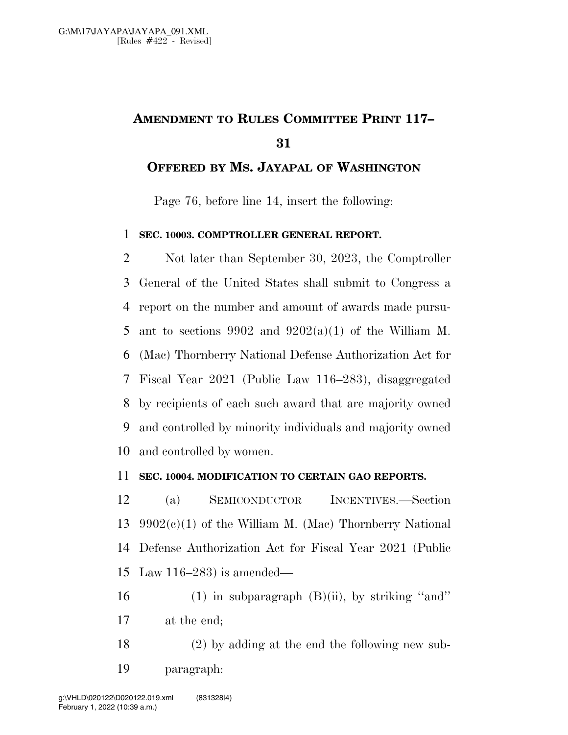# **AMENDMENT TO RULES COMMITTEE PRINT 117–**

## **OFFERED BY MS. JAYAPAL OF WASHINGTON**

Page 76, before line 14, insert the following:

#### **SEC. 10003. COMPTROLLER GENERAL REPORT.**

 Not later than September 30, 2023, the Comptroller General of the United States shall submit to Congress a report on the number and amount of awards made pursu-5 ant to sections 9902 and  $9202(a)(1)$  of the William M. (Mac) Thornberry National Defense Authorization Act for Fiscal Year 2021 (Public Law 116–283), disaggregated by recipients of each such award that are majority owned and controlled by minority individuals and majority owned and controlled by women.

### **SEC. 10004. MODIFICATION TO CERTAIN GAO REPORTS.**

 (a) SEMICONDUCTOR INCENTIVES.—Section  $9902(e)(1)$  of the William M. (Mac) Thornberry National Defense Authorization Act for Fiscal Year 2021 (Public Law 116–283) is amended—

16 (1) in subparagraph  $(B)(ii)$ , by striking "and" at the end;

 (2) by adding at the end the following new sub-paragraph: